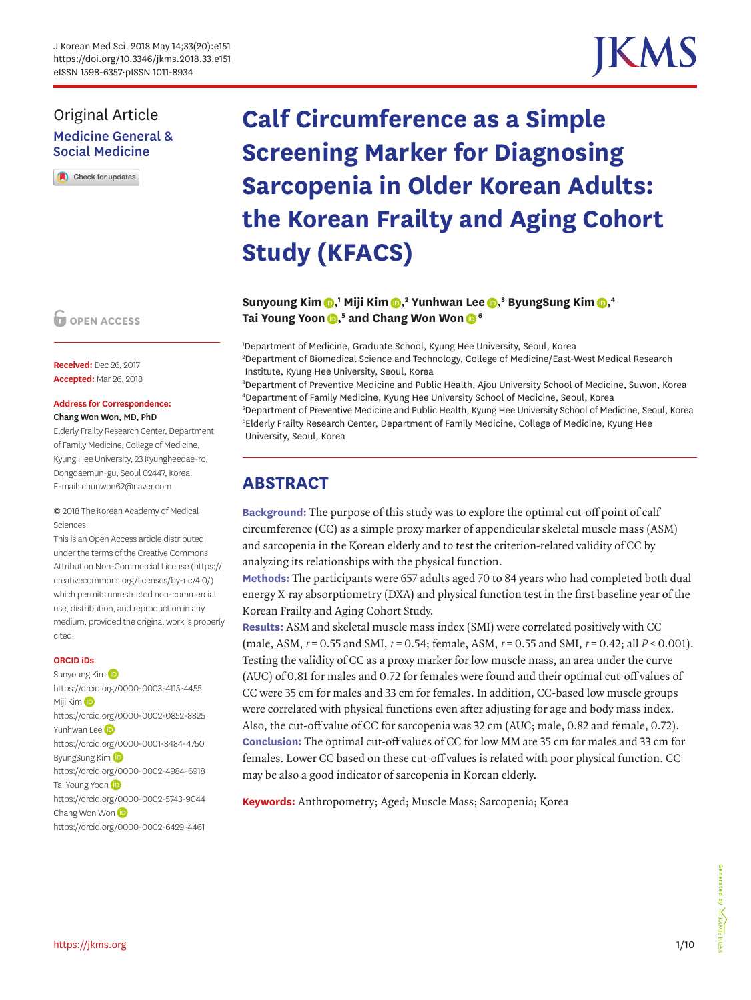# IKM.

# Original Article Medicine General & Social Medicine

Check for updates

**O** OPEN ACCESS

**Received:** Dec 26, 2017 **Accepted:** Mar 26, 2018

#### **Address for Correspondence:**  Chang Won Won, MD, PhD

Elderly Frailty Research Center, Department of Family Medicine, College of Medicine, Kyung Hee University, 23 Kyungheedae-ro, Dongdaemun-gu, Seoul 02447, Korea. E-mail: chunwon62@naver.com

© 2018 The Korean Academy of Medical Sciences.

This is an Open Access article distributed under the terms of the Creative Commons Attribution Non-Commercial License [\(https://](https://creativecommons.org/licenses/by-nc/4.0/) [creativecommons.org/licenses/by-nc/4.0/](https://creativecommons.org/licenses/by-nc/4.0/)) which permits unrestricted non-commercial use, distribution, and reproduction in any medium, provided the original work is properly cited.

#### **ORCID iDs**

Sunyoung Kim<sup>(D</sup> <https://orcid.org/0000-0003-4115-4455> Miji Ki[m](https://orcid.org/0000-0002-0852-8825) D <https://orcid.org/0000-0002-0852-8825> Yunhwan Lee <https://orcid.org/0000-0001-8484-4750> ByungSung Kim <https://orcid.org/0000-0002-4984-6918> Tai Young Yoon <https://orcid.org/0000-0002-5743-9044> Chang Wo[n](https://orcid.org/0000-0002-6429-4461) Won (D) <https://orcid.org/0000-0002-6429-4461>

# **Calf Circumference as a Simple Screening Marker for Diagnosing Sarcopenia in Older Korean Adults: the Korean Frailty and Aging Cohort Study (KFACS)**

#### $\sum_{i=1}^{n}$  **Sunyoung Kim** $\sum_{i=1}^{n}$ **[,](https://orcid.org/0000-0002-4984-6918)** Yunhwan Lee $\sum_{i=1}^{n}$  ByungSung Kim $\sum_{i=1}^{n}$ **Tai Young Yoon [,](https://orcid.org/0000-0002-5743-9044) 5 and Chang Won Wo[n](https://orcid.org/0000-0002-6429-4461) <sup>6</sup>**

1 Department of Medicine, Graduate School, Kyung Hee University, Seoul, Korea 2 Department of Biomedical Science and Technology, College of Medicine/East-West Medical Research Institute, Kyung Hee University, Seoul, Korea

 Department of Preventive Medicine and Public Health, Ajou University School of Medicine, Suwon, Korea Department of Family Medicine, Kyung Hee University School of Medicine, Seoul, Korea Department of Preventive Medicine and Public Health, Kyung Hee University School of Medicine, Seoul, Korea Elderly Frailty Research Center, Department of Family Medicine, College of Medicine, Kyung Hee University, Seoul, Korea

# **ABSTRACT**

**Background:** The purpose of this study was to explore the optimal cut-off point of calf circumference (CC) as a simple proxy marker of appendicular skeletal muscle mass (ASM) and sarcopenia in the Korean elderly and to test the criterion-related validity of CC by analyzing its relationships with the physical function.

**Methods:** The participants were 657 adults aged 70 to 84 years who had completed both dual energy X-ray absorptiometry (DXA) and physical function test in the first baseline year of the Korean Frailty and Aging Cohort Study.

**Results:** ASM and skeletal muscle mass index (SMI) were correlated positively with CC (male, ASM, *r* = 0.55 and SMI, *r* = 0.54; female, ASM, *r* = 0.55 and SMI, *r* = 0.42; all *P* < 0.001). Testing the validity of CC as a proxy marker for low muscle mass, an area under the curve (AUC) of 0.81 for males and 0.72 for females were found and their optimal cut-off values of CC were 35 cm for males and 33 cm for females. In addition, CC-based low muscle groups were correlated with physical functions even after adjusting for age and body mass index. Also, the cut-off value of CC for sarcopenia was 32 cm (AUC; male, 0.82 and female, 0.72). **Conclusion:** The optimal cut-off values of CC for low MM are 35 cm for males and 33 cm for females. Lower CC based on these cut-off values is related with poor physical function. CC may be also a good indicator of sarcopenia in Korean elderly.

**Keywords:** Anthropometry; Aged; Muscle Mass; Sarcopenia; Korea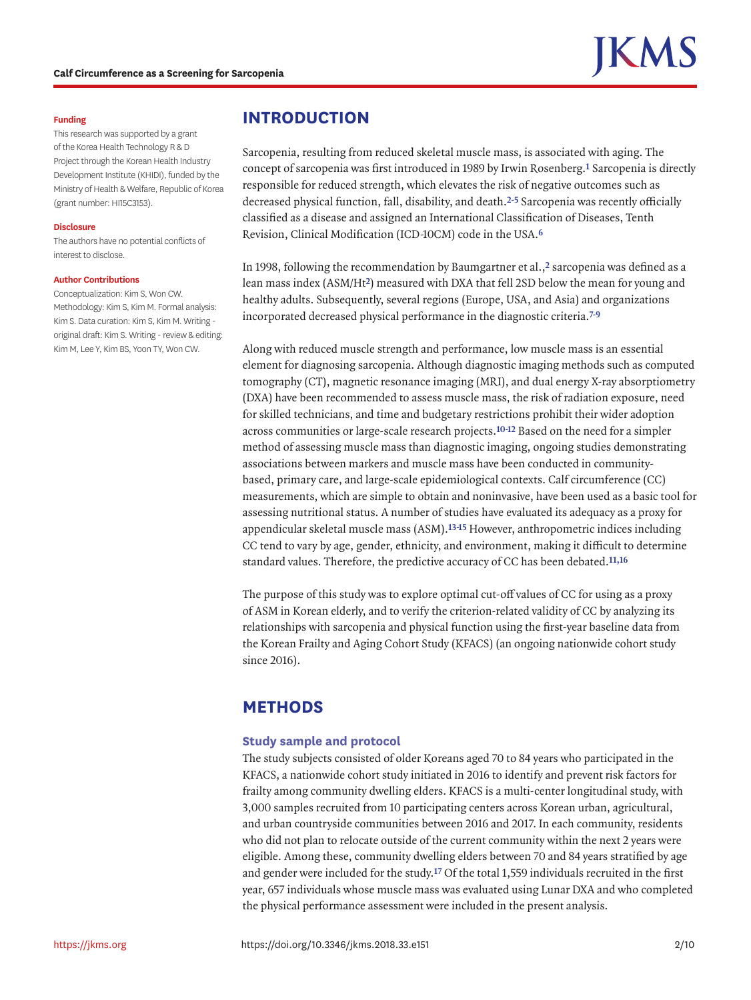#### **Funding**

This research was supported by a grant of the Korea Health Technology R & D Project through the Korean Health Industry Development Institute (KHIDI), funded by the Ministry of Health & Welfare, Republic of Korea (grant number: HI15C3153).

#### **Disclosure**

The authors have no potential conflicts of interest to disclose.

#### **Author Contributions**

Conceptualization: Kim S, Won CW. Methodology: Kim S, Kim M. Formal analysis: Kim S. Data curation: Kim S, Kim M. Writing original draft: Kim S. Writing - review & editing: Kim M, Lee Y, Kim BS, Yoon TY, Won CW.

## **INTRODUCTION**

<span id="page-1-2"></span><span id="page-1-0"></span>Sarcopenia, resulting from reduced skeletal muscle mass, is associated with aging. The concept of sarcopenia was first introduced in 1989 by Irwin Rosenberg.**[1](#page-7-0)** Sarcopenia is directly responsible for reduced strength, which elevates the risk of negative outcomes such as decreased physical function, fall, disability, and death.**[2-](#page-7-1)[5](#page-7-2)** Sarcopenia was recently officially classified as a disease and assigned an International Classification of Diseases, Tenth Revision, Clinical Modification (ICD-10CM) code in the USA.**[6](#page-7-3)**

<span id="page-1-3"></span><span id="page-1-1"></span>In 1998, following the recommendation by Baumgartner et al.,**[2](#page-7-1)** sarcopenia was defined as a lean mass index (ASM/Ht**[2](#page-7-1)**) measured with DXA that fell 2SD below the mean for young and healthy adults. Subsequently, several regions (Europe, USA, and Asia) and organizations incorporated decreased physical performance in the diagnostic criteria.**[7](#page-7-4)-[9](#page-7-5)**

<span id="page-1-5"></span><span id="page-1-4"></span>Along with reduced muscle strength and performance, low muscle mass is an essential element for diagnosing sarcopenia. Although diagnostic imaging methods such as computed tomography (CT), magnetic resonance imaging (MRI), and dual energy X-ray absorptiometry (DXA) have been recommended to assess muscle mass, the risk of radiation exposure, need for skilled technicians, and time and budgetary restrictions prohibit their wider adoption across communities or large-scale research projects.**[10](#page-7-6)[-12](#page-8-0)** Based on the need for a simpler method of assessing muscle mass than diagnostic imaging, ongoing studies demonstrating associations between markers and muscle mass have been conducted in communitybased, primary care, and large-scale epidemiological contexts. Calf circumference (CC) measurements, which are simple to obtain and noninvasive, have been used as a basic tool for assessing nutritional status. A number of studies have evaluated its adequacy as a proxy for appendicular skeletal muscle mass (ASM).**[13](#page-8-1)[-15](#page-8-2)** However, anthropometric indices including CC tend to vary by age, gender, ethnicity, and environment, making it difficult to determine standard values. Therefore, the predictive accuracy of CC has been debated.**[11](#page-7-7)[,16](#page-8-3)**

<span id="page-1-7"></span><span id="page-1-6"></span>The purpose of this study was to explore optimal cut-off values of CC for using as a proxy of ASM in Korean elderly, and to verify the criterion-related validity of CC by analyzing its relationships with sarcopenia and physical function using the first-year baseline data from the Korean Frailty and Aging Cohort Study (KFACS) (an ongoing nationwide cohort study since 2016).

# **METHODS**

#### **Study sample and protocol**

<span id="page-1-8"></span>The study subjects consisted of older Koreans aged 70 to 84 years who participated in the KFACS, a nationwide cohort study initiated in 2016 to identify and prevent risk factors for frailty among community dwelling elders. KFACS is a multi-center longitudinal study, with 3,000 samples recruited from 10 participating centers across Korean urban, agricultural, and urban countryside communities between 2016 and 2017. In each community, residents who did not plan to relocate outside of the current community within the next 2 years were eligible. Among these, community dwelling elders between 70 and 84 years stratified by age and gender were included for the study.**[17](#page-8-4)** Of the total 1,559 individuals recruited in the first year, 657 individuals whose muscle mass was evaluated using Lunar DXA and who completed the physical performance assessment were included in the present analysis.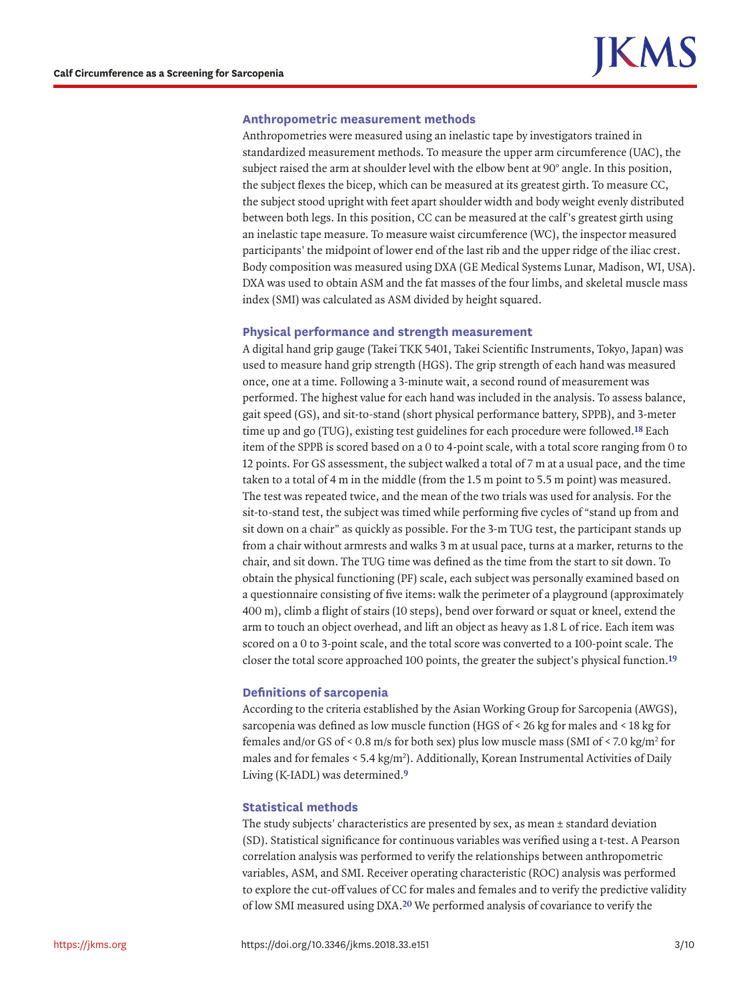#### **Anthropometric measurement methods**

Anthropometries were measured using an inelastic tape by investigators trained in standardized measurement methods. To measure the upper arm circumference (UAC), the subject raised the arm at shoulder level with the elbow bent at 90° angle. In this position, the subject flexes the bicep, which can be measured at its greatest girth. To measure CC, the subject stood upright with feet apart shoulder width and body weight evenly distributed between both legs. In this position, CC can be measured at the calf 's greatest girth using an inelastic tape measure. To measure waist circumference (WC), the inspector measured participants' the midpoint of lower end of the last rib and the upper ridge of the iliac crest. Body composition was measured using DXA (GE Medical Systems Lunar, Madison, WI, USA). DXA was used to obtain ASM and the fat masses of the four limbs, and skeletal muscle mass index (SMI) was calculated as ASM divided by height squared.

#### **Physical performance and strength measurement**

<span id="page-2-0"></span>A digital hand grip gauge (Takei TKK 5401, Takei Scientific Instruments, Tokyo, Japan) was used to measure hand grip strength (HGS). The grip strength of each hand was measured once, one at a time. Following a 3-minute wait, a second round of measurement was performed. The highest value for each hand was included in the analysis. To assess balance, gait speed (GS), and sit-to-stand (short physical performance battery, SPPB), and 3-meter time up and go (TUG), existing test guidelines for each procedure were followed.**[18](#page-8-5)** Each item of the SPPB is scored based on a 0 to 4-point scale, with a total score ranging from 0 to 12 points. For GS assessment, the subject walked a total of 7 m at a usual pace, and the time taken to a total of 4 m in the middle (from the 1.5 m point to 5.5 m point) was measured. The test was repeated twice, and the mean of the two trials was used for analysis. For the sit-to-stand test, the subject was timed while performing five cycles of "stand up from and sit down on a chair" as quickly as possible. For the 3-m TUG test, the participant stands up from a chair without armrests and walks 3 m at usual pace, turns at a marker, returns to the chair, and sit down. The TUG time was defined as the time from the start to sit down. To obtain the physical functioning (PF) scale, each subject was personally examined based on a questionnaire consisting of five items: walk the perimeter of a playground (approximately 400 m), climb a flight of stairs (10 steps), bend over forward or squat or kneel, extend the arm to touch an object overhead, and lift an object as heavy as 1.8 L of rice. Each item was scored on a 0 to 3-point scale, and the total score was converted to a 100-point scale. The closer the total score approached 100 points, the greater the subject's physical function.**[19](#page-8-6)**

#### <span id="page-2-1"></span>**Definitions of sarcopenia**

According to the criteria established by the Asian Working Group for Sarcopenia (AWGS), sarcopenia was defined as low muscle function (HGS of < 26 kg for males and < 18 kg for females and/or GS of < 0.8 m/s for both sex) plus low muscle mass (SMI of < 7.0 kg/m<sup>2</sup> for males and for females <  $5.4 \text{ kg/m}^2$ ). Additionally, Korean Instrumental Activities of Daily Living (K-IADL) was determined.**[9](#page-7-5)**

#### **Statistical methods**

<span id="page-2-2"></span>The study subjects' characteristics are presented by sex, as mean  $\pm$  standard deviation (SD). Statistical significance for continuous variables was verified using a t-test. A Pearson correlation analysis was performed to verify the relationships between anthropometric variables, ASM, and SMI. Receiver operating characteristic (ROC) analysis was performed to explore the cut-off values of CC for males and females and to verify the predictive validity of low SMI measured using DXA.**[20](#page-8-7)** We performed analysis of covariance to verify the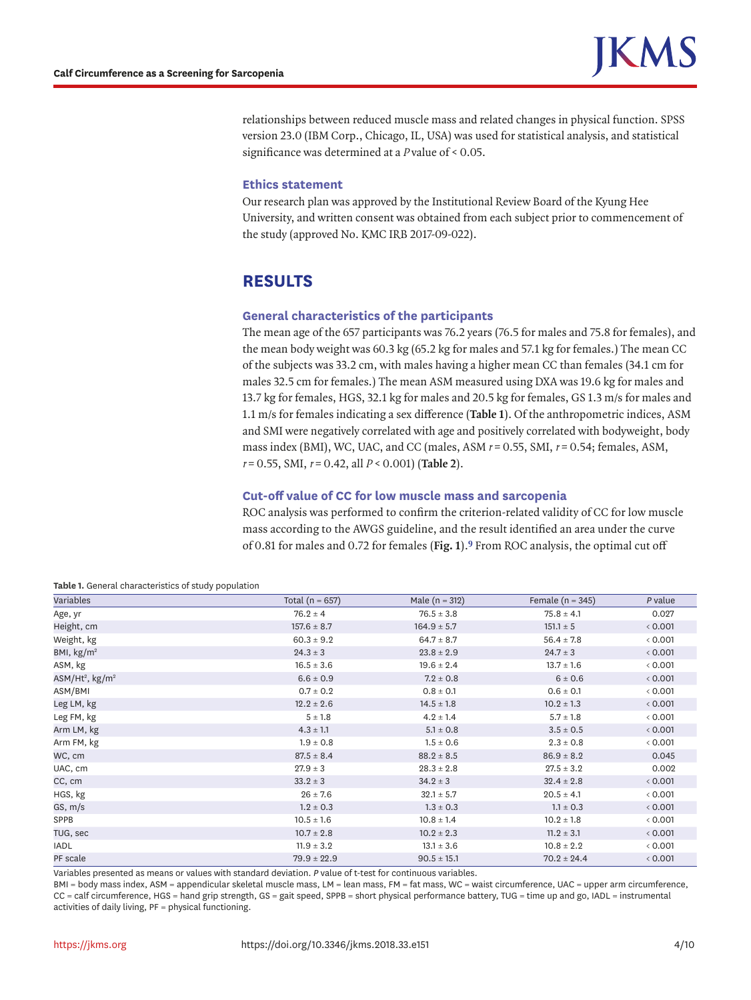relationships between reduced muscle mass and related changes in physical function. SPSS version 23.0 (IBM Corp., Chicago, IL, USA) was used for statistical analysis, and statistical significance was determined at a *P* value of < 0.05.

#### **Ethics statement**

Our research plan was approved by the Institutional Review Board of the Kyung Hee University, and written consent was obtained from each subject prior to commencement of the study (approved No. KMC IRB 2017-09-022).

## **RESULTS**

#### **General characteristics of the participants**

The mean age of the 657 participants was 76.2 years (76.5 for males and 75.8 for females), and the mean body weight was 60.3 kg (65.2 kg for males and 57.1 kg for females.) The mean CC of the subjects was 33.2 cm, with males having a higher mean CC than females (34.1 cm for males 32.5 cm for females.) The mean ASM measured using DXA was 19.6 kg for males and 13.7 kg for females, HGS, 32.1 kg for males and 20.5 kg for females, GS 1.3 m/s for males and 1.1 m/s for females indicating a sex difference (**[Table 1](#page-3-0)**). Of the anthropometric indices, ASM and SMI were negatively correlated with age and positively correlated with bodyweight, body mass index (BMI), WC, UAC, and CC (males, ASM *r* = 0.55, SMI, *r* = 0.54; females, ASM, *<sup>r</sup>* = 0.55, SMI, *r* = 0.42, all *P* < 0.001) (**[Table 2](#page-4-0)**).

#### **Cut-off value of CC for low muscle mass and sarcopenia**

<span id="page-3-1"></span>ROC analysis was performed to confirm the criterion-related validity of CC for low muscle mass according to the AWGS guideline, and the result identified an area under the curve of 0.81 for males and 0.72 for females (**[Fig. 1](#page-4-1)**).**[9](#page-7-5)** From ROC analysis, the optimal cut off

| .                                       |                     |                  |                      |         |
|-----------------------------------------|---------------------|------------------|----------------------|---------|
| Variables                               | Total ( $n = 657$ ) | Male $(n = 312)$ | Female ( $n = 345$ ) | P value |
| Age, yr                                 | $76.2 \pm 4$        | $76.5 \pm 3.8$   | $75.8 \pm 4.1$       | 0.027   |
| Height, cm                              | $157.6 \pm 8.7$     | $164.9 \pm 5.7$  | $151.1 \pm 5$        | & 0.001 |
| Weight, kg                              | $60.3 \pm 9.2$      | $64.7 \pm 8.7$   | $56.4 \pm 7.8$       | & 0.001 |
| BMI, $\text{kg/m}^2$                    | $24.3 \pm 3$        | $23.8 \pm 2.9$   | $24.7 \pm 3$         | < 0.001 |
| ASM, kg                                 | $16.5 \pm 3.6$      | $19.6 \pm 2.4$   | $13.7 \pm 1.6$       | & 0.001 |
| ASM/Ht <sup>2</sup> , kg/m <sup>2</sup> | $6.6 \pm 0.9$       | $7.2 \pm 0.8$    | 6 ± 0.6              | < 0.001 |
| ASM/BMI                                 | $0.7 \pm 0.2$       | $0.8 \pm 0.1$    | $0.6 \pm 0.1$        | & 0.001 |
| Leg LM, kg                              | $12.2 \pm 2.6$      | $14.5 \pm 1.8$   | $10.2 \pm 1.3$       | & 0.001 |
| Leg FM, kg                              | $5 \pm 1.8$         | $4.2 \pm 1.4$    | $5.7 \pm 1.8$        | < 0.001 |
| Arm LM, kg                              | $4.3 \pm 1.1$       | $5.1 \pm 0.8$    | $3.5 \pm 0.5$        | < 0.001 |
| Arm FM, kg                              | $1.9 \pm 0.8$       | $1.5 \pm 0.6$    | $2.3 \pm 0.8$        | & 0.001 |
| WC, cm                                  | $87.5 \pm 8.4$      | $88.2 \pm 8.5$   | $86.9 \pm 8.2$       | 0.045   |
| UAC, cm                                 | $27.9 \pm 3$        | $28.3 \pm 2.8$   | $27.5 \pm 3.2$       | 0.002   |
| CC, cm                                  | $33.2 \pm 3$        | $34.2 \pm 3$     | $32.4 \pm 2.8$       | & 0.001 |
| HGS, kg                                 | $26 \pm 7.6$        | $32.1 \pm 5.7$   | $20.5 \pm 4.1$       | < 0.001 |
| GS, m/s                                 | $1.2 \pm 0.3$       | $1.3 \pm 0.3$    | $1.1 \pm 0.3$        | & 0.001 |
| SPPB                                    | $10.5 \pm 1.6$      | $10.8 \pm 1.4$   | $10.2 \pm 1.8$       | < 0.001 |
| TUG, sec                                | $10.7 \pm 2.8$      | $10.2 \pm 2.3$   | $11.2 \pm 3.1$       | & 0.001 |
| IADL                                    | $11.9 \pm 3.2$      | $13.1 \pm 3.6$   | $10.8 \pm 2.2$       | < 0.001 |
| PF scale                                | $79.9 \pm 22.9$     | $90.5 \pm 15.1$  | $70.2 \pm 24.4$      | &0.001  |

<span id="page-3-0"></span>

| Table 1. General characteristics of study population |  |
|------------------------------------------------------|--|
|------------------------------------------------------|--|

Variables presented as means or values with standard deviation. *P* value of t-test for continuous variables.

BMI = body mass index, ASM = appendicular skeletal muscle mass, LM = lean mass, FM = fat mass, WC = waist circumference, UAC = upper arm circumference, CC = calf circumference, HGS = hand grip strength, GS = gait speed, SPPB = short physical performance battery, TUG = time up and go, IADL = instrumental activities of daily living, PF = physical functioning.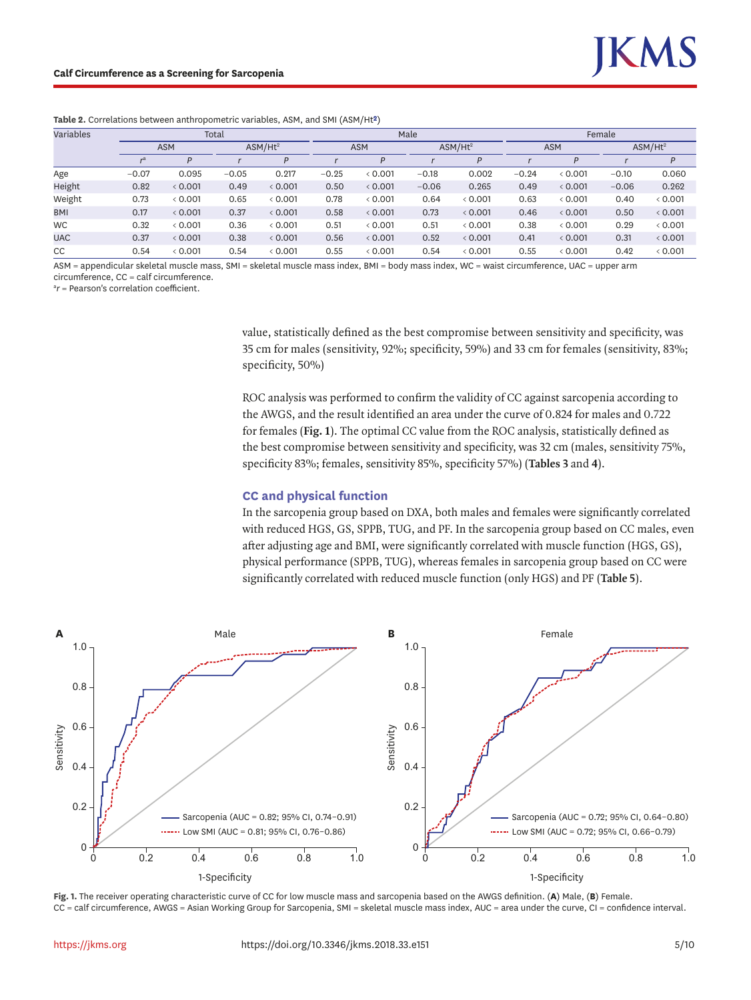<span id="page-4-0"></span>

| Table 2. Correlations between anthropometric variables, ASM, and SMI (ASM/Ht <sup>2</sup> ) |  |  |  |  |
|---------------------------------------------------------------------------------------------|--|--|--|--|
|                                                                                             |  |  |  |  |

| Variables<br>Total |            |         |         |                     | Male    |            |         |                     | Female  |            |         |                     |  |
|--------------------|------------|---------|---------|---------------------|---------|------------|---------|---------------------|---------|------------|---------|---------------------|--|
|                    | <b>ASM</b> |         |         | ASM/Hz <sup>2</sup> |         | <b>ASM</b> |         | ASM/Hz <sup>2</sup> |         | <b>ASM</b> |         | ASM/Hz <sup>2</sup> |  |
|                    | ra         | D       |         | P                   |         | D          |         | P                   |         |            |         | P                   |  |
| Age                | $-0.07$    | 0.095   | $-0.05$ | 0.217               | $-0.25$ | 0.001      | $-0.18$ | 0.002               | $-0.24$ | 0.001      | $-0.10$ | 0.060               |  |
| Height             | 0.82       | & 0.001 | 0.49    | & 0.001             | 0.50    | & 0.001    | $-0.06$ | 0.265               | 0.49    | 0.001      | $-0.06$ | 0.262               |  |
| Weight             | 0.73       | & 0.001 | 0.65    | & 0.001             | 0.78    | &0.001     | 0.64    | & 0.001             | 0.63    | 0.001      | 0.40    | & 0.001             |  |
| <b>BMI</b>         | 0.17       | & 0.001 | 0.37    | & 0.001             | 0.58    | & 0.001    | 0.73    | & 0.001             | 0.46    | 0.001      | 0.50    | & 0.001             |  |
| <b>WC</b>          | 0.32       | & 0.001 | 0.36    | &0.001              | 0.51    | 0.001      | 0.51    | & 0.001             | 0.38    | 0.001      | 0.29    | & 0.001             |  |
| <b>UAC</b>         | 0.37       | & 0.001 | 0.38    | & 0.001             | 0.56    | & 0.001    | 0.52    | & 0.001             | 0.41    | 0.001      | 0.31    | & 0.001             |  |
| CC                 | 0.54       | & 0.001 | 0.54    | & 0.001             | 0.55    | &0.001     | 0.54    | & 0.001             | 0.55    | &0.001     | 0.42    | & 0.001             |  |

ASM = appendicular skeletal muscle mass, SMI = skeletal muscle mass index, BMI = body mass index, WC = waist circumference, UAC = upper arm circumference, CC = calf circumference.

a *r* = Pearson's correlation coefficient.

value, statistically defined as the best compromise between sensitivity and specificity, was 35 cm for males (sensitivity, 92%; specificity, 59%) and 33 cm for females (sensitivity, 83%; specificity, 50%)

ROC analysis was performed to confirm the validity of CC against sarcopenia according to the AWGS, and the result identified an area under the curve of 0.824 for males and 0.722 for females (**[Fig. 1](#page-4-1)**). The optimal CC value from the ROC analysis, statistically defined as the best compromise between sensitivity and specificity, was 32 cm (males, sensitivity 75%, specificity 83%; females, sensitivity 85%, specificity 57%) (**[Tables 3](#page-5-0)** and **[4](#page-5-1)**).

#### **CC and physical function**

In the sarcopenia group based on DXA, both males and females were significantly correlated with reduced HGS, GS, SPPB, TUG, and PF. In the sarcopenia group based on CC males, even after adjusting age and BMI, were significantly correlated with muscle function (HGS, GS), physical performance (SPPB, TUG), whereas females in sarcopenia group based on CC were significantly correlated with reduced muscle function (only HGS) and PF (**[Table 5](#page-5-2)**).



<span id="page-4-1"></span>**Fig. 1.** The receiver operating characteristic curve of CC for low muscle mass and sarcopenia based on the AWGS definition. (**A**) Male, (**B**) Female. CC = calf circumference, AWGS = Asian Working Group for Sarcopenia, SMI = skeletal muscle mass index, AUC = area under the curve, CI = confidence interval.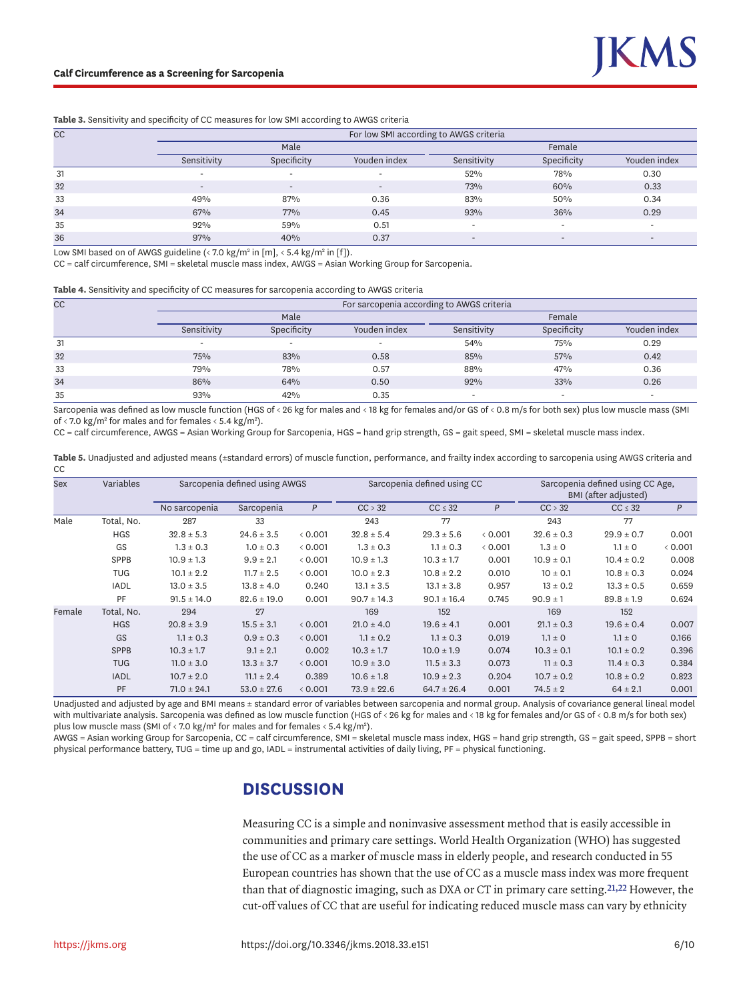#### <span id="page-5-0"></span>**Table 3.** Sensitivity and specificity of CC measures for low SMI according to AWGS criteria

| <b>CC</b> | For low SMI according to AWGS criteria |                          |                              |                          |                          |                          |  |  |  |  |
|-----------|----------------------------------------|--------------------------|------------------------------|--------------------------|--------------------------|--------------------------|--|--|--|--|
|           |                                        | Male                     |                              | Female                   |                          |                          |  |  |  |  |
|           | Sensitivity                            | Specificity              | Youden index                 | Sensitivity              | Specificity              | Youden index             |  |  |  |  |
| 31        | $\overline{\phantom{0}}$               | $\overline{\phantom{0}}$ |                              | 52%                      | 78%                      | 0.30                     |  |  |  |  |
| 32        | $\overline{\phantom{0}}$               | $\overline{\phantom{a}}$ | $\qquad \qquad \blacksquare$ | 73%                      | 60%                      | 0.33                     |  |  |  |  |
| 33        | 49%                                    | 87%                      | 0.36                         | 83%                      | 50%                      | 0.34                     |  |  |  |  |
| 34        | 67%                                    | 77%                      | 0.45                         | 93%                      | 36%                      | 0.29                     |  |  |  |  |
| 35        | 92%                                    | 59%                      | 0.51                         |                          | $\overline{\phantom{0}}$ | $\overline{\phantom{a}}$ |  |  |  |  |
| 36        | 97%                                    | 40%                      | 0.37                         | $\overline{\phantom{0}}$ | $\overline{\phantom{0}}$ | $\overline{\phantom{a}}$ |  |  |  |  |

Low SMI based on of AWGS guideline (< 7.0 kg/m<sup>2</sup> in [m], < 5.4 kg/m<sup>2</sup> in [f]).

CC = calf circumference, SMI = skeletal muscle mass index, AWGS = Asian Working Group for Sarcopenia.

<span id="page-5-1"></span>**Table 4.** Sensitivity and specificity of CC measures for sarcopenia according to AWGS criteria

| <b>CC</b> | For sarcopenia according to AWGS criteria |             |                          |             |                          |                          |  |  |  |  |
|-----------|-------------------------------------------|-------------|--------------------------|-------------|--------------------------|--------------------------|--|--|--|--|
|           |                                           | Male        |                          | Female      |                          |                          |  |  |  |  |
|           | Sensitivity                               | Specificity | Youden index             | Sensitivity | Specificity              | Youden index             |  |  |  |  |
| 31        | $\overline{\phantom{0}}$                  | -           | $\overline{\phantom{0}}$ | 54%         | 75%                      | 0.29                     |  |  |  |  |
| 32        | 75%                                       | 83%         | 0.58                     | 85%         | 57%                      | 0.42                     |  |  |  |  |
| 33        | 79%                                       | 78%         | 0.57                     | 88%         | 47%                      | 0.36                     |  |  |  |  |
| 34        | 86%                                       | 64%         | 0.50                     | 92%         | 33%                      | 0.26                     |  |  |  |  |
| 35        | 93%                                       | 42%         | 0.35                     |             | $\overline{\phantom{0}}$ | $\overline{\phantom{a}}$ |  |  |  |  |

Sarcopenia was defined as low muscle function (HGS of < 26 kg for males and < 18 kg for females and/or GS of < 0.8 m/s for both sex) plus low muscle mass (SMI of < 7.0 kg/m<sup>2</sup> for males and for females < 5.4 kg/m<sup>2</sup>).

CC = calf circumference, AWGS = Asian Working Group for Sarcopenia, HGS = hand grip strength, GS = gait speed, SMI = skeletal muscle mass index.

<span id="page-5-2"></span>Table 5. Unadjusted and adjusted means (±standard errors) of muscle function, performance, and frailty index according to sarcopenia using AWGS criteria and **CC** 

| Sex    | Variables   | Sarcopenia defined using AWGS |                 |         |                 | Sarcopenia defined using CC |         | Sarcopenia defined using CC Age,<br>BMI (after adjusted) |                |         |
|--------|-------------|-------------------------------|-----------------|---------|-----------------|-----------------------------|---------|----------------------------------------------------------|----------------|---------|
|        |             | No sarcopenia                 | Sarcopenia      | P       | CC > 32         | $CC \leq 32$                | P       | CC > 32                                                  | $CC \leq 32$   | P       |
| Male   | Total, No.  | 287                           | 33              |         | 243             | 77                          |         | 243                                                      | 77             |         |
|        | <b>HGS</b>  | $32.8 \pm 5.3$                | $24.6 \pm 3.5$  | & 0.001 | $32.8 \pm 5.4$  | $29.3 \pm 5.6$              | & 0.001 | $32.6 \pm 0.3$                                           | $29.9 \pm 0.7$ | 0.001   |
|        | GS          | $1.3 \pm 0.3$                 | $1.0 \pm 0.3$   | &0.001  | $1.3 \pm 0.3$   | $1.1 \pm 0.3$               | & 0.001 | $1.3 \pm 0$                                              | $1.1 \pm 0$    | & 0.001 |
|        | SPPB        | $10.9 \pm 1.3$                | $9.9 \pm 2.1$   | & 0.001 | $10.9 \pm 1.3$  | $10.3 \pm 1.7$              | 0.001   | $10.9 \pm 0.1$                                           | $10.4 \pm 0.2$ | 0.008   |
|        | <b>TUG</b>  | $10.1 \pm 2.2$                | $11.7 \pm 2.5$  | &0.001  | $10.0 \pm 2.3$  | $10.8 \pm 2.2$              | 0.010   | $10 \pm 0.1$                                             | $10.8 \pm 0.3$ | 0.024   |
|        | <b>IADL</b> | $13.0 \pm 3.5$                | $13.8 \pm 4.0$  | 0.240   | $13.1 \pm 3.5$  | $13.1 \pm 3.8$              | 0.957   | $13 \pm 0.2$                                             | $13.3 \pm 0.5$ | 0.659   |
|        | PF          | $91.5 \pm 14.0$               | $82.6 \pm 19.0$ | 0.001   | $90.7 \pm 14.3$ | $90.1 \pm 16.4$             | 0.745   | $90.9 \pm 1$                                             | $89.8 \pm 1.9$ | 0.624   |
| Female | Total, No.  | 294                           | 27              |         | 169             | 152                         |         | 169                                                      | 152            |         |
|        | <b>HGS</b>  | $20.8 \pm 3.9$                | $15.5 \pm 3.1$  | 0.001   | $21.0 \pm 4.0$  | $19.6 \pm 4.1$              | 0.001   | $21.1 \pm 0.3$                                           | $19.6 \pm 0.4$ | 0.007   |
|        | GS          | $1.1 \pm 0.3$                 | $0.9 \pm 0.3$   | < 0.001 | $1.1 \pm 0.2$   | $1.1 \pm 0.3$               | 0.019   | $1.1 \pm 0$                                              | $1.1 \pm 0$    | 0.166   |
|        | <b>SPPB</b> | $10.3 \pm 1.7$                | $9.1 \pm 2.1$   | 0.002   | $10.3 \pm 1.7$  | $10.0 \pm 1.9$              | 0.074   | $10.3 \pm 0.1$                                           | $10.1 \pm 0.2$ | 0.396   |
|        | <b>TUG</b>  | $11.0 \pm 3.0$                | $13.3 \pm 3.7$  | < 0.001 | $10.9 \pm 3.0$  | $11.5 \pm 3.3$              | 0.073   | $11 \pm 0.3$                                             | $11.4 \pm 0.3$ | 0.384   |
|        | <b>IADL</b> | $10.7 \pm 2.0$                | $11.1 \pm 2.4$  | 0.389   | $10.6 \pm 1.8$  | $10.9 \pm 2.3$              | 0.204   | $10.7 \pm 0.2$                                           | $10.8 \pm 0.2$ | 0.823   |
|        | PF          | $71.0 \pm 24.1$               | $53.0 \pm 27.6$ | & 0.001 | $73.9 \pm 22.6$ | $64.7 \pm 26.4$             | 0.001   | $74.5 \pm 2$                                             | $64 \pm 2.1$   | 0.001   |

Unadjusted and adjusted by age and BMI means ± standard error of variables between sarcopenia and normal group. Analysis of covariance general lineal model with multivariate analysis. Sarcopenia was defined as low muscle function (HGS of < 26 kg for males and < 18 kg for females and/or GS of < 0.8 m/s for both sex) plus low muscle mass (SMI of < 7.0 kg/m<sup>2</sup> for males and for females < 5.4 kg/m<sup>2</sup>).

AWGS = Asian working Group for Sarcopenia, CC = calf circumference, SMI = skeletal muscle mass index, HGS = hand grip strength, GS = gait speed, SPPB = short physical performance battery, TUG = time up and go, IADL = instrumental activities of daily living, PF = physical functioning.

# **DISCUSSION**

<span id="page-5-3"></span>Measuring CC is a simple and noninvasive assessment method that is easily accessible in communities and primary care settings. World Health Organization (WHO) has suggested the use of CC as a marker of muscle mass in elderly people, and research conducted in 55 European countries has shown that the use of CC as a muscle mass index was more frequent than that of diagnostic imaging, such as DXA or CT in primary care setting.**[21](#page-8-8)[,22](#page-8-9)** However, the cut-off values of CC that are useful for indicating reduced muscle mass can vary by ethnicity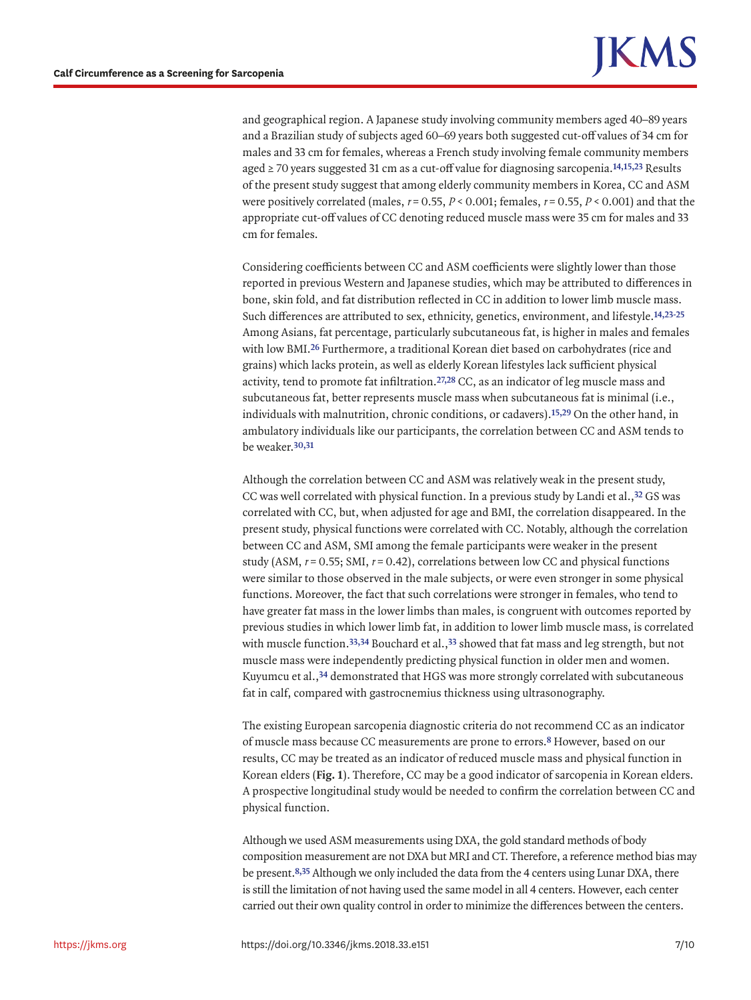and geographical region. A Japanese study involving community members aged 40–89 years and a Brazilian study of subjects aged 60–69 years both suggested cut-off values of 34 cm for males and 33 cm for females, whereas a French study involving female community members aged ≥ 70 years suggested 31 cm as a cut-off value for diagnosing sarcopenia.**[14,](#page-8-10)[15](#page-8-2)[,23](#page-8-11)** Results of the present study suggest that among elderly community members in Korea, CC and ASM were positively correlated (males,  $r = 0.55$ ,  $P < 0.001$ ; females,  $r = 0.55$ ,  $P < 0.001$ ) and that the appropriate cut-off values of CC denoting reduced muscle mass were 35 cm for males and 33 cm for females.

<span id="page-6-3"></span><span id="page-6-1"></span>Considering coefficients between CC and ASM coefficients were slightly lower than those reported in previous Western and Japanese studies, which may be attributed to differences in bone, skin fold, and fat distribution reflected in CC in addition to lower limb muscle mass. Such differences are attributed to sex, ethnicity, genetics, environment, and lifestyle.**[14](#page-8-10)[,23](#page-8-11)[-25](#page-8-12)** Among Asians, fat percentage, particularly subcutaneous fat, is higher in males and females with low BMI.**[26](#page-8-13)** Furthermore, a traditional Korean diet based on carbohydrates (rice and grains) which lacks protein, as well as elderly Korean lifestyles lack sufficient physical activity, tend to promote fat infiltration.**[27](#page-8-14)[,28](#page-8-15)** CC, as an indicator of leg muscle mass and subcutaneous fat, better represents muscle mass when subcutaneous fat is minimal (i.e., individuals with malnutrition, chronic conditions, or cadavers).**[15](#page-8-2)[,29](#page-8-16)** On the other hand, in ambulatory individuals like our participants, the correlation between CC and ASM tends to be weaker.**[30,](#page-8-17)[31](#page-9-0)**

<span id="page-6-6"></span><span id="page-6-5"></span><span id="page-6-4"></span><span id="page-6-2"></span>Although the correlation between CC and ASM was relatively weak in the present study, CC was well correlated with physical function. In a previous study by Landi et al.,**[32](#page-9-1)** GS was correlated with CC, but, when adjusted for age and BMI, the correlation disappeared. In the present study, physical functions were correlated with CC. Notably, although the correlation between CC and ASM, SMI among the female participants were weaker in the present study (ASM,  $r = 0.55$ ; SMI,  $r = 0.42$ ), correlations between low CC and physical functions were similar to those observed in the male subjects, or were even stronger in some physical functions. Moreover, the fact that such correlations were stronger in females, who tend to have greater fat mass in the lower limbs than males, is congruent with outcomes reported by previous studies in which lower limb fat, in addition to lower limb muscle mass, is correlated with muscle function.**[33,](#page-9-2)[34](#page-9-3)** Bouchard et al.,**[33](#page-9-2)** showed that fat mass and leg strength, but not muscle mass were independently predicting physical function in older men and women. Kuyumcu et al.,**[34](#page-9-3)** demonstrated that HGS was more strongly correlated with subcutaneous fat in calf, compared with gastrocnemius thickness using ultrasonography.

<span id="page-6-8"></span><span id="page-6-7"></span>The existing European sarcopenia diagnostic criteria do not recommend CC as an indicator of muscle mass because CC measurements are prone to errors.**[8](#page-7-8)** However, based on our results, CC may be treated as an indicator of reduced muscle mass and physical function in Korean elders (**[Fig. 1](#page-4-1)**). Therefore, CC may be a good indicator of sarcopenia in Korean elders. A prospective longitudinal study would be needed to confirm the correlation between CC and physical function.

<span id="page-6-0"></span>Although we used ASM measurements using DXA, the gold standard methods of body composition measurement are not DXA but MRI and CT. Therefore, a reference method bias may be present.**[8,](#page-7-8)[35](#page-9-4)** Although we only included the data from the 4 centers using Lunar DXA, there is still the limitation of not having used the same model in all 4 centers. However, each center carried out their own quality control in order to minimize the differences between the centers.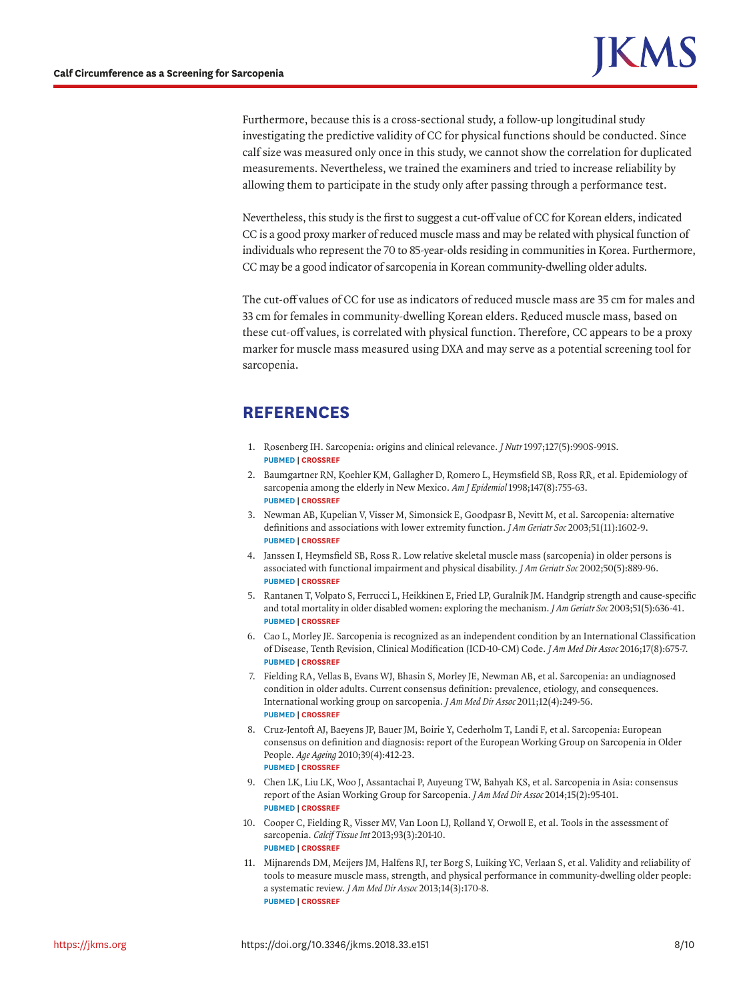Furthermore, because this is a cross-sectional study, a follow-up longitudinal study investigating the predictive validity of CC for physical functions should be conducted. Since calf size was measured only once in this study, we cannot show the correlation for duplicated measurements. Nevertheless, we trained the examiners and tried to increase reliability by allowing them to participate in the study only after passing through a performance test.

Nevertheless, this study is the first to suggest a cut-off value of CC for Korean elders, indicated CC is a good proxy marker of reduced muscle mass and may be related with physical function of individuals who represent the 70 to 85-year-olds residing in communities in Korea. Furthermore, CC may be a good indicator of sarcopenia in Korean community-dwelling older adults.

The cut-off values of CC for use as indicators of reduced muscle mass are 35 cm for males and 33 cm for females in community-dwelling Korean elders. Reduced muscle mass, based on these cut-off values, is correlated with physical function. Therefore, CC appears to be a proxy marker for muscle mass measured using DXA and may serve as a potential screening tool for sarcopenia.

# **REFERENCES**

- <span id="page-7-0"></span>[1.](#page-1-0) Rosenberg IH. Sarcopenia: origins and clinical relevance. *J Nutr* 1997;127(5):990S-991S. **[PUBMED](http://www.ncbi.nlm.nih.gov/pubmed/9164280) | [CROSSREF](https://doi.org/10.1093/jn/127.5.990S)**
- <span id="page-7-1"></span>[2.](#page-1-1) Baumgartner RN, Koehler KM, Gallagher D, Romero L, Heymsfield SB, Ross RR, et al. Epidemiology of sarcopenia among the elderly in New Mexico. *Am J Epidemiol* 1998;147(8):755-63. **[PUBMED](http://www.ncbi.nlm.nih.gov/pubmed/9554417) | [CROSSREF](https://doi.org/10.1093/oxfordjournals.aje.a009520)**
- 3. Newman AB, Kupelian V, Visser M, Simonsick E, Goodpasr B, Nevitt M, et al. Sarcopenia: alternative definitions and associations with lower extremity function. *J Am Geriatr Soc* 2003;51(11):1602-9. **[PUBMED](http://www.ncbi.nlm.nih.gov/pubmed/14687390) | [CROSSREF](https://doi.org/10.1046/j.1532-5415.2003.51534.x)**
- 4. Janssen I, Heymsfield SB, Ross R. Low relative skeletal muscle mass (sarcopenia) in older persons is associated with functional impairment and physical disability. *J Am Geriatr Soc* 2002;50(5):889-96. **[PUBMED](http://www.ncbi.nlm.nih.gov/pubmed/12028177) | [CROSSREF](https://doi.org/10.1046/j.1532-5415.2002.50216.x)**
- <span id="page-7-2"></span>[5.](#page-1-2) Rantanen T, Volpato S, Ferrucci L, Heikkinen E, Fried LP, Guralnik JM. Handgrip strength and cause-specific and total mortality in older disabled women: exploring the mechanism. *J Am Geriatr Soc* 2003;51(5):636-41. **[PUBMED](http://www.ncbi.nlm.nih.gov/pubmed/12752838) | [CROSSREF](https://doi.org/10.1034/j.1600-0579.2003.00207.x)**
- <span id="page-7-3"></span>[6.](#page-1-3) Cao L, Morley JE. Sarcopenia is recognized as an independent condition by an International Classification of Disease, Tenth Revision, Clinical Modification (ICD-10-CM) Code. *J Am Med Dir Assoc* 2016;17(8):675-7. **[PUBMED](http://www.ncbi.nlm.nih.gov/pubmed/27470918) | [CROSSREF](https://doi.org/10.1016/j.jamda.2016.06.001)**
- <span id="page-7-4"></span>[7.](#page-1-4) Fielding RA, Vellas B, Evans WJ, Bhasin S, Morley JE, Newman AB, et al. Sarcopenia: an undiagnosed condition in older adults. Current consensus definition: prevalence, etiology, and consequences. International working group on sarcopenia. *J Am Med Dir Assoc* 2011;12(4):249-56. **[PUBMED](http://www.ncbi.nlm.nih.gov/pubmed/21527165) | [CROSSREF](https://doi.org/10.1016/j.jamda.2011.01.003)**
- <span id="page-7-8"></span>[8.](#page-6-0) Cruz-Jentoft AJ, Baeyens JP, Bauer JM, Boirie Y, Cederholm T, Landi F, et al. Sarcopenia: European consensus on definition and diagnosis: report of the European Working Group on Sarcopenia in Older People. *Age Ageing* 2010;39(4):412-23. **[PUBMED](http://www.ncbi.nlm.nih.gov/pubmed/20392703) | [CROSSREF](https://doi.org/10.1093/ageing/afq034)**
- <span id="page-7-5"></span>[9.](#page-3-1) Chen LK, Liu LK, Woo J, Assantachai P, Auyeung TW, Bahyah KS, et al. Sarcopenia in Asia: consensus report of the Asian Working Group for Sarcopenia. *J Am Med Dir Assoc* 2014;15(2):95-101. **[PUBMED](http://www.ncbi.nlm.nih.gov/pubmed/24461239) | [CROSSREF](https://doi.org/10.1016/j.jamda.2013.11.025)**
- <span id="page-7-6"></span>[10.](#page-1-5) Cooper C, Fielding R, Visser MV, Van Loon LJ, Rolland Y, Orwoll E, et al. Tools in the assessment of sarcopenia. *Calcif Tissue Int* 2013;93(3):201-10. **[PUBMED](http://www.ncbi.nlm.nih.gov/pubmed/23842964) | [CROSSREF](https://doi.org/10.1007/s00223-013-9757-z)**
- <span id="page-7-7"></span>[11.](#page-1-6) Mijnarends DM, Meijers JM, Halfens RJ, ter Borg S, Luiking YC, Verlaan S, et al. Validity and reliability of tools to measure muscle mass, strength, and physical performance in community-dwelling older people: a systematic review. *J Am Med Dir Assoc* 2013;14(3):170-8. **[PUBMED](http://www.ncbi.nlm.nih.gov/pubmed/23276432) | [CROSSREF](https://doi.org/10.1016/j.jamda.2012.10.009)**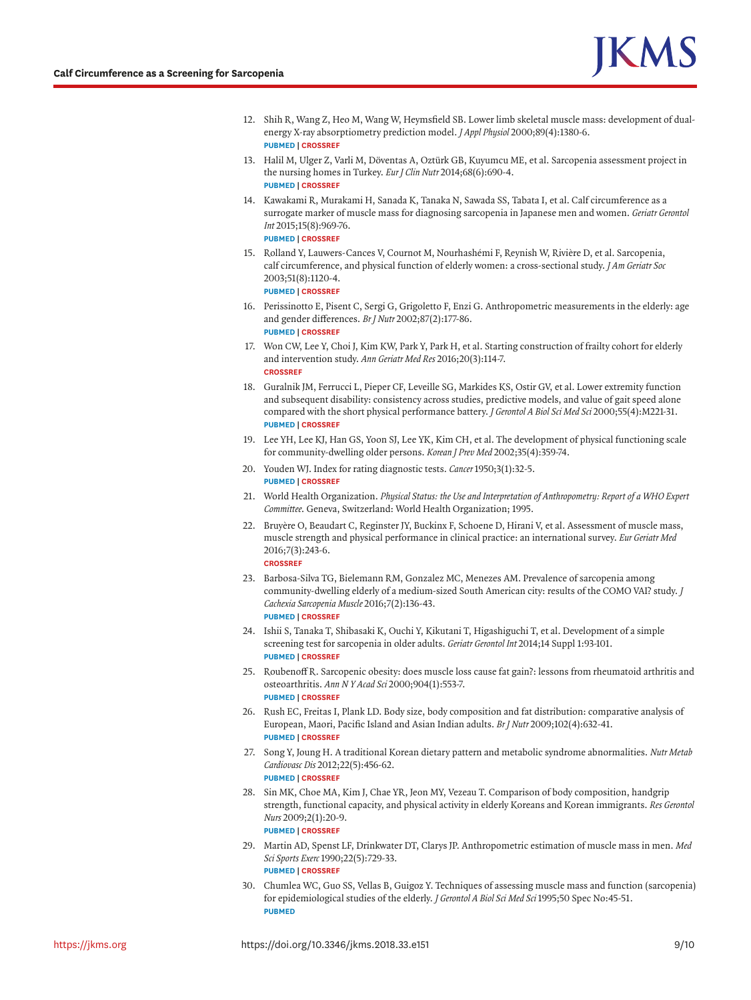- <span id="page-8-0"></span>[12.](#page-1-5) Shih R, Wang Z, Heo M, Wang W, Heymsfield SB. Lower limb skeletal muscle mass: development of dualenergy X-ray absorptiometry prediction model. *J Appl Physiol* 2000;89(4):1380-6. **[PUBMED](http://www.ncbi.nlm.nih.gov/pubmed/11007572) | [CROSSREF](https://doi.org/10.1152/jappl.2000.89.4.1380)**
- <span id="page-8-1"></span>[13.](#page-1-7) Halil M, Ulger Z, Varli M, Döventas A, Oztürk GB, Kuyumcu ME, et al. Sarcopenia assessment project in the nursing homes in Turkey. *Eur J Clin Nutr* 2014;68(6):690-4. **[PUBMED](http://www.ncbi.nlm.nih.gov/pubmed/24569540) | [CROSSREF](https://doi.org/10.1038/ejcn.2014.15)**
- <span id="page-8-10"></span>[14.](#page-6-1) Kawakami R, Murakami H, Sanada K, Tanaka N, Sawada SS, Tabata I, et al. Calf circumference as a surrogate marker of muscle mass for diagnosing sarcopenia in Japanese men and women. *Geriatr Gerontol Int* 2015;15(8):969-76. **[PUBMED](http://www.ncbi.nlm.nih.gov/pubmed/25243821) | [CROSSREF](https://doi.org/10.1111/ggi.12377)**
- <span id="page-8-2"></span>[15.](#page-6-2) Rolland Y, Lauwers-Cances V, Cournot M, Nourhashémi F, Reynish W, Rivière D, et al. Sarcopenia, calf circumference, and physical function of elderly women: a cross-sectional study. *J Am Geriatr Soc* 2003;51(8):1120-4.

**[PUBMED](http://www.ncbi.nlm.nih.gov/pubmed/12890076) | [CROSSREF](https://doi.org/10.1046/j.1532-5415.2003.51362.x)**

- <span id="page-8-3"></span>[16.](#page-1-6) Perissinotto E, Pisent C, Sergi G, Grigoletto F, Enzi G. Anthropometric measurements in the elderly: age and gender differences. *Br J Nutr* 2002;87(2):177-86. **[PUBMED](http://www.ncbi.nlm.nih.gov/pubmed/11895170) | [CROSSREF](https://doi.org/10.1079/BJN2001487)**
- <span id="page-8-4"></span>[17.](#page-1-8) Won CW, Lee Y, Choi J, Kim KW, Park Y, Park H, et al. Starting construction of frailty cohort for elderly and intervention study. *Ann Geriatr Med Res* 2016;20(3):114-7. **[CROSSREF](https://doi.org/10.4235/agmr.2016.20.3.114)**
- <span id="page-8-5"></span>[18.](#page-2-0) Guralnik JM, Ferrucci L, Pieper CF, Leveille SG, Markides KS, Ostir GV, et al. Lower extremity function and subsequent disability: consistency across studies, predictive models, and value of gait speed alone compared with the short physical performance battery. *J Gerontol A Biol Sci Med Sci* 2000;55(4):M221-31. **[PUBMED](http://www.ncbi.nlm.nih.gov/pubmed/10811152) | [CROSSREF](https://doi.org/10.1093/gerona/55.4.M221)**
- <span id="page-8-6"></span>[19.](#page-2-1) Lee YH, Lee KJ, Han GS, Yoon SJ, Lee YK, Kim CH, et al. The development of physical functioning scale for community-dwelling older persons. *Korean J Prev Med* 2002;35(4):359-74.
- <span id="page-8-7"></span>[20.](#page-2-2) Youden WJ. Index for rating diagnostic tests. *Cancer* 1950;3(1):32-5. **[PUBMED](http://www.ncbi.nlm.nih.gov/pubmed/15405679) | [CROSSREF](https://doi.org/10.1002/1097-0142(1950)3:1%3C32::AID-CNCR2820030106%3E3.0.CO;2-3)**
- <span id="page-8-8"></span>[21.](#page-5-3) World Health Organization. *Physical Status: the Use and Interpretation of Anthropometry: Report of a WHO Expert Committee*. Geneva, Switzerland: World Health Organization; 1995.
- <span id="page-8-9"></span>[22.](#page-5-3) Bruyère O, Beaudart C, Reginster JY, Buckinx F, Schoene D, Hirani V, et al. Assessment of muscle mass, muscle strength and physical performance in clinical practice: an international survey. *Eur Geriatr Med* 2016;7(3):243-6. **[CROSSREF](https://doi.org/10.1016/j.eurger.2015.12.009)**
- <span id="page-8-11"></span>[23.](#page-6-1) Barbosa-Silva TG, Bielemann RM, Gonzalez MC, Menezes AM. Prevalence of sarcopenia among community-dwelling elderly of a medium-sized South American city: results of the COMO VAI? study. *J Cachexia Sarcopenia Muscle* 2016;7(2):136-43. **[PUBMED](http://www.ncbi.nlm.nih.gov/pubmed/27493867) | [CROSSREF](https://doi.org/10.1002/jcsm.12049)**
- 24. Ishii S, Tanaka T, Shibasaki K, Ouchi Y, Kikutani T, Higashiguchi T, et al. Development of a simple screening test for sarcopenia in older adults. *Geriatr Gerontol Int* 2014;14 Suppl 1:93-101. **[PUBMED](http://www.ncbi.nlm.nih.gov/pubmed/24450566) | [CROSSREF](https://doi.org/10.1111/ggi.12197)**
- <span id="page-8-12"></span>[25.](#page-6-1) Roubenoff R. Sarcopenic obesity: does muscle loss cause fat gain?: lessons from rheumatoid arthritis and osteoarthritis. *Ann N Y Acad Sci* 2000;904(1):553-7. **[PUBMED](http://www.ncbi.nlm.nih.gov/pubmed/10865804) | [CROSSREF](https://doi.org/10.1111/j.1749-6632.2000.tb06515.x)**
- <span id="page-8-13"></span>[26.](#page-6-3) Rush EC, Freitas I, Plank LD. Body size, body composition and fat distribution: comparative analysis of European, Maori, Pacific Island and Asian Indian adults. *Br J Nutr* 2009;102(4):632-41. **[PUBMED](http://www.ncbi.nlm.nih.gov/pubmed/19203416) | [CROSSREF](https://doi.org/10.1017/S0007114508207221)**
- <span id="page-8-14"></span>[27.](#page-6-4) Song Y, Joung H. A traditional Korean dietary pattern and metabolic syndrome abnormalities. *Nutr Metab Cardiovasc Dis* 2012;22(5):456-62. **[PUBMED](http://www.ncbi.nlm.nih.gov/pubmed/21215606) | [CROSSREF](https://doi.org/10.1016/j.numecd.2010.09.002)**
- <span id="page-8-15"></span>[28.](#page-6-4) Sin MK, Choe MA, Kim J, Chae YR, Jeon MY, Vezeau T. Comparison of body composition, handgrip strength, functional capacity, and physical activity in elderly Koreans and Korean immigrants. *Res Gerontol Nurs* 2009;2(1):20-9. **[PUBMED](http://www.ncbi.nlm.nih.gov/pubmed/20077990) | [CROSSREF](https://doi.org/10.3928/19404921-20090101-11)**
- <span id="page-8-16"></span>[29.](#page-6-2) Martin AD, Spenst LF, Drinkwater DT, Clarys JP. Anthropometric estimation of muscle mass in men. *Med Sci Sports Exerc* 1990;22(5):729-33. **[PUBMED](http://www.ncbi.nlm.nih.gov/pubmed/2233214) | [CROSSREF](https://doi.org/10.1249/00005768-199010000-00027)**
- <span id="page-8-17"></span>[30.](#page-6-5) Chumlea WC, Guo SS, Vellas B, Guigoz Y. Techniques of assessing muscle mass and function (sarcopenia) for epidemiological studies of the elderly. *J Gerontol A Biol Sci Med Sci* 1995;50 Spec No:45-51. **[PUBMED](http://www.ncbi.nlm.nih.gov/pubmed/7493217)**